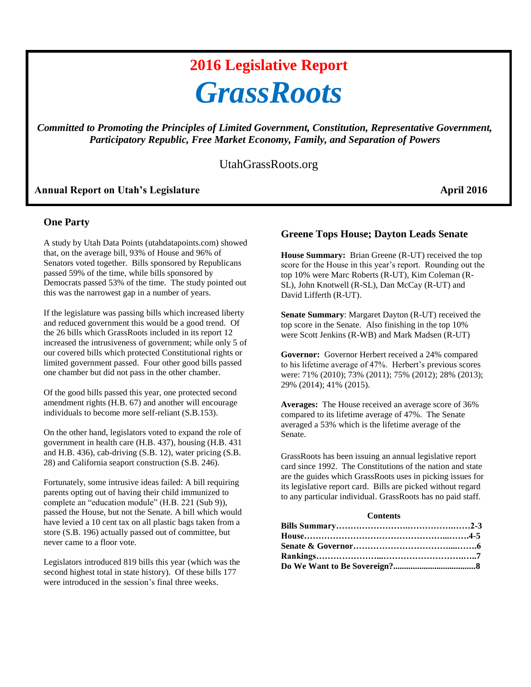# **2016 Legislative Report** *GrassRoots*

*Committed to Promoting the Principles of Limited Government, Constitution, Representative Government, Participatory Republic, Free Market Economy, Family, and Separation of Powers*

## UtahGrassRoots.org

## Annual Report on Utah's Legislature **April 2016**

#### **One Party**

A study by Utah Data Points (utahdatapoints.com) showed that, on the average bill, 93% of House and 96% of Senators voted together. Bills sponsored by Republicans passed 59% of the time, while bills sponsored by Democrats passed 53% of the time. The study pointed out this was the narrowest gap in a number of years.

If the legislature was passing bills which increased liberty and reduced government this would be a good trend. Of the 26 bills which GrassRoots included in its report 12 increased the intrusiveness of government; while only 5 of our covered bills which protected Constitutional rights or limited government passed. Four other good bills passed one chamber but did not pass in the other chamber.

Of the good bills passed this year, one protected second amendment rights (H.B. 67) and another will encourage individuals to become more self-reliant (S.B.153).

On the other hand, legislators voted to expand the role of government in health care (H.B. 437), housing (H.B. 431 and H.B. 436), cab-driving (S.B. 12), water pricing (S.B. 28) and California seaport construction (S.B. 246).

Fortunately, some intrusive ideas failed: A bill requiring parents opting out of having their child immunized to complete an "education module" (H.B. 221 (Sub 9)), passed the House, but not the Senate. A bill which would have levied a 10 cent tax on all plastic bags taken from a store (S.B. 196) actually passed out of committee, but never came to a floor vote.

Legislators introduced 819 bills this year (which was the second highest total in state history). Of these bills 177 were introduced in the session's final three weeks.

## **Greene Tops House; Dayton Leads Senate**

**House Summary:** Brian Greene (R-UT) received the top score for the House in this year's report. Rounding out the top 10% were Marc Roberts (R-UT), Kim Coleman (R-SL), John Knotwell (R-SL), Dan McCay (R-UT) and David Lifferth (R-UT).

**Senate Summary**: Margaret Dayton (R-UT) received the top score in the Senate. Also finishing in the top 10% were Scott Jenkins (R-WB) and Mark Madsen (R-UT)

**Governor:** Governor Herbert received a 24% compared to his lifetime average of 47%. Herbert's previous scores were: 71% (2010); 73% (2011); 75% (2012); 28% (2013); 29% (2014); 41% (2015).

**Averages:** The House received an average score of 36% compared to its lifetime average of 47%. The Senate averaged a 53% which is the lifetime average of the Senate.

GrassRoots has been issuing an annual legislative report card since 1992. The Constitutions of the nation and state are the guides which GrassRoots uses in picking issues for its legislative report card. Bills are picked without regard to any particular individual. GrassRoots has no paid staff.

#### **Contents**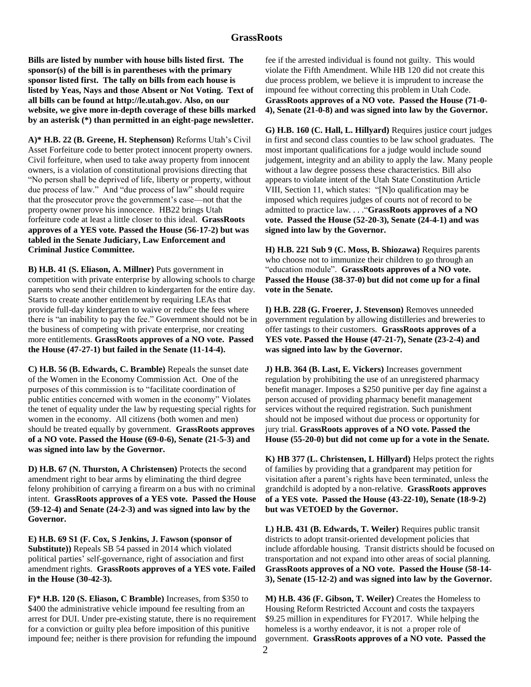## **GrassRoots**

**Bills are listed by number with house bills listed first. The sponsor(s) of the bill is in parentheses with the primary sponsor listed first. The tally on bills from each house is listed by Yeas, Nays and those Absent or Not Voting. Text of all bills can be found at http://le.utah.gov. Also, on our website, we give more in-depth coverage of these bills marked by an asterisk (\*) than permitted in an eight-page newsletter.** 

**A)\* H.B. 22 (B. Greene, H. Stephenson)** Reforms Utah's Civil Asset Forfeiture code to better protect innocent property owners. Civil forfeiture, when used to take away property from innocent owners, is a violation of constitutional provisions directing that "No person shall be deprived of life, liberty or property, without due process of law." And "due process of law" should require that the prosecutor prove the government's case—not that the property owner prove his innocence. HB22 brings Utah forfeiture code at least a little closer to this ideal. **GrassRoots approves of a YES vote. Passed the House (56-17-2) but was tabled in the Senate Judiciary, Law Enforcement and Criminal Justice Committee.** 

**B) H.B. 41 (S. Eliason, A. Millner)** Puts government in competition with private enterprise by allowing schools to charge parents who send their children to kindergarten for the entire day. Starts to create another entitlement by requiring LEAs that provide full-day kindergarten to waive or reduce the fees where there is "an inability to pay the fee." Government should not be in the business of competing with private enterprise, nor creating more entitlements. **GrassRoots approves of a NO vote. Passed the House (47-27-1) but failed in the Senate (11-14-4).** 

**C) H.B. 56 (B. Edwards, C. Bramble)** Repeals the sunset date of the Women in the Economy Commission Act. One of the purposes of this commission is to "facilitate coordination of public entities concerned with women in the economy" Violates the tenet of equality under the law by requesting special rights for women in the economy. All citizens (both women and men) should be treated equally by government. **GrassRoots approves of a NO vote. Passed the House (69-0-6), Senate (21-5-3) and was signed into law by the Governor.** 

**D) H.B. 67 (N. Thurston, A Christensen)** Protects the second amendment right to bear arms by eliminating the third degree felony prohibition of carrying a firearm on a bus with no criminal intent. **GrassRoots approves of a YES vote. Passed the House (59-12-4) and Senate (24-2-3) and was signed into law by the Governor.** 

**E) H.B. 69 S1 (F. Cox, S Jenkins, J. Fawson (sponsor of Substitute))** Repeals SB 54 passed in 2014 which violated political parties' self-governance, right of association and first amendment rights. **GrassRoots approves of a YES vote. Failed in the House (30-42-3).** 

**F)\* H.B. 120 (S. Eliason, C Bramble)** Increases, from \$350 to \$400 the administrative vehicle impound fee resulting from an arrest for DUI. Under pre-existing statute, there is no requirement for a conviction or guilty plea before imposition of this punitive impound fee; neither is there provision for refunding the impound

fee if the arrested individual is found not guilty. This would violate the Fifth Amendment. While HB 120 did not create this due process problem, we believe it is imprudent to increase the impound fee without correcting this problem in Utah Code. **GrassRoots approves of a NO vote. Passed the House (71-0- 4), Senate (21-0-8) and was signed into law by the Governor.** 

**G) H.B. 160 (C. Hall, L. Hillyard)** Requires justice court judges in first and second class counties to be law school graduates. The most important qualifications for a judge would include sound judgement, integrity and an ability to apply the law. Many people without a law degree possess these characteristics. Bill also appears to violate intent of the Utah State Constitution Article VIII, Section 11, which states: "[N]o qualification may be imposed which requires judges of courts not of record to be admitted to practice law. . . ."**GrassRoots approves of a NO vote. Passed the House (52-20-3), Senate (24-4-1) and was signed into law by the Governor.**

**H) H.B. 221 Sub 9 (C. Moss, B. Shiozawa)** Requires parents who choose not to immunize their children to go through an "education module". **GrassRoots approves of a NO vote. Passed the House (38-37-0) but did not come up for a final vote in the Senate.**

**I) H.B. 228 (G. Froerer, J. Stevenson)** Removes unneeded government regulation by allowing distilleries and breweries to offer tastings to their customers. **GrassRoots approves of a YES vote. Passed the House (47-21-7), Senate (23-2-4) and was signed into law by the Governor.** 

**J) H.B. 364 (B. Last, E. Vickers)** Increases government regulation by prohibiting the use of an unregistered pharmacy benefit manager. Imposes a \$250 punitive per day fine against a person accused of providing pharmacy benefit management services without the required registration. Such punishment should not be imposed without due process or opportunity for jury trial. **GrassRoots approves of a NO vote. Passed the House (55-20-0) but did not come up for a vote in the Senate.**

**K) HB 377 (L. Christensen, L Hillyard)** Helps protect the rights of families by providing that a grandparent may petition for visitation after a parent's rights have been terminated, unless the grandchild is adopted by a non-relative. **GrassRoots approves of a YES vote. Passed the House (43-22-10), Senate (18-9-2) but was VETOED by the Governor.**

**L) H.B. 431 (B. Edwards, T. Weiler)** Requires public transit districts to adopt transit-oriented development policies that include affordable housing. Transit districts should be focused on transportation and not expand into other areas of social planning. **GrassRoots approves of a NO vote. Passed the House (58-14- 3), Senate (15-12-2) and was signed into law by the Governor.** 

**M) H.B. 436 (F. Gibson, T. Weiler)** Creates the Homeless to Housing Reform Restricted Account and costs the taxpayers \$9.25 million in expenditures for FY2017. While helping the homeless is a worthy endeavor, it is not a proper role of government. **GrassRoots approves of a NO vote. Passed the**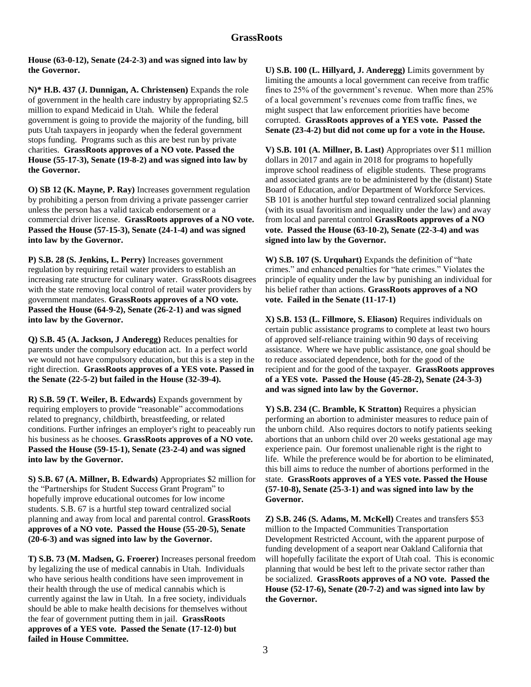**House (63-0-12), Senate (24-2-3) and was signed into law by the Governor.** 

**N)\* H.B. 437 (J. Dunnigan, A. Christensen)** Expands the role of government in the health care industry by appropriating \$2.5 million to expand Medicaid in Utah. While the federal government is going to provide the majority of the funding, bill puts Utah taxpayers in jeopardy when the federal government stops funding. Programs such as this are best run by private charities. **GrassRoots approves of a NO vote. Passed the House (55-17-3), Senate (19-8-2) and was signed into law by the Governor.** 

**O) SB 12 (K. Mayne, P. Ray)** Increases government regulation by prohibiting a person from driving a private passenger carrier unless the person has a valid taxicab endorsement or a commercial driver license. **GrassRoots approves of a NO vote. Passed the House (57-15-3), Senate (24-1-4) and was signed into law by the Governor.**

**P) S.B. 28 (S. Jenkins, L. Perry)** Increases government regulation by requiring retail water providers to establish an increasing rate structure for culinary water. GrassRoots disagrees with the state removing local control of retail water providers by government mandates. **GrassRoots approves of a NO vote. Passed the House (64-9-2), Senate (26-2-1) and was signed into law by the Governor.** 

**Q) S.B. 45 (A. Jackson, J Anderegg)** Reduces penalties for parents under the compulsory education act. In a perfect world we would not have compulsory education, but this is a step in the right direction. **GrassRoots approves of a YES vote. Passed in the Senate (22-5-2) but failed in the House (32-39-4).**

**R) S.B. 59 (T. Weiler, B. Edwards)** Expands government by requiring employers to provide "reasonable" accommodations related to pregnancy, childbirth, breastfeeding, or related conditions. Further infringes an employer's right to peaceably run his business as he chooses. **GrassRoots approves of a NO vote. Passed the House (59-15-1), Senate (23-2-4) and was signed into law by the Governor.** 

**S) S.B. 67 (A. Millner, B. Edwards)** Appropriates \$2 million for the "Partnerships for Student Success Grant Program" to hopefully improve educational outcomes for low income students. S.B. 67 is a hurtful step toward centralized social planning and away from local and parental control. **GrassRoots approves of a NO vote. Passed the House (55-20-5), Senate (20-6-3) and was signed into law by the Governor.**

**T) S.B. 73 (M. Madsen, G. Froerer)** Increases personal freedom by legalizing the use of medical cannabis in Utah. Individuals who have serious health conditions have seen improvement in their health through the use of medical cannabis which is currently against the law in Utah. In a free society, individuals should be able to make health decisions for themselves without the fear of government putting them in jail. **GrassRoots approves of a YES vote. Passed the Senate (17-12-0) but failed in House Committee.**

**U) S.B. 100 (L. Hillyard, J. Anderegg)** Limits government by limiting the amounts a local government can receive from traffic fines to 25% of the government's revenue. When more than 25% of a local government's revenues come from traffic fines, we might suspect that law enforcement priorities have become corrupted. **GrassRoots approves of a YES vote. Passed the Senate (23-4-2) but did not come up for a vote in the House.**

**V) S.B. 101 (A. Millner, B. Last)** Appropriates over \$11 million dollars in 2017 and again in 2018 for programs to hopefully improve school readiness of eligible students. These programs and associated grants are to be administered by the (distant) State Board of Education, and/or Department of Workforce Services. SB 101 is another hurtful step toward centralized social planning (with its usual favoritism and inequality under the law) and away from local and parental control **GrassRoots approves of a NO vote. Passed the House (63-10-2), Senate (22-3-4) and was signed into law by the Governor.**

**W) S.B. 107 (S. Urquhart)** Expands the definition of "hate crimes." and enhanced penalties for "hate crimes." Violates the principle of equality under the law by punishing an individual for his belief rather than actions. **GrassRoots approves of a NO vote. Failed in the Senate (11-17-1)**

**X) S.B. 153 (L. Fillmore, S. Eliason)** Requires individuals on certain public assistance programs to complete at least two hours of approved self-reliance training within 90 days of receiving assistance. Where we have public assistance, one goal should be to reduce associated dependence, both for the good of the recipient and for the good of the taxpayer. **GrassRoots approves of a YES vote. Passed the House (45-28-2), Senate (24-3-3) and was signed into law by the Governor.**

**Y) S.B. 234 (C. Bramble, K Stratton)** Requires a physician performing an abortion to administer measures to reduce pain of the unborn child. Also requires doctors to notify patients seeking abortions that an unborn child over 20 weeks gestational age may experience pain. Our foremost unalienable right is the right to life. While the preference would be for abortion to be eliminated, this bill aims to reduce the number of abortions performed in the state. **GrassRoots approves of a YES vote. Passed the House (57-10-8), Senate (25-3-1) and was signed into law by the Governor.**

**Z) S.B. 246 (S. Adams, M. McKell)** Creates and transfers \$53 million to the Impacted Communities Transportation Development Restricted Account, with the apparent purpose of funding development of a seaport near Oakland California that will hopefully facilitate the export of Utah coal. This is economic planning that would be best left to the private sector rather than be socialized. **GrassRoots approves of a NO vote. Passed the House (52-17-6), Senate (20-7-2) and was signed into law by the Governor.**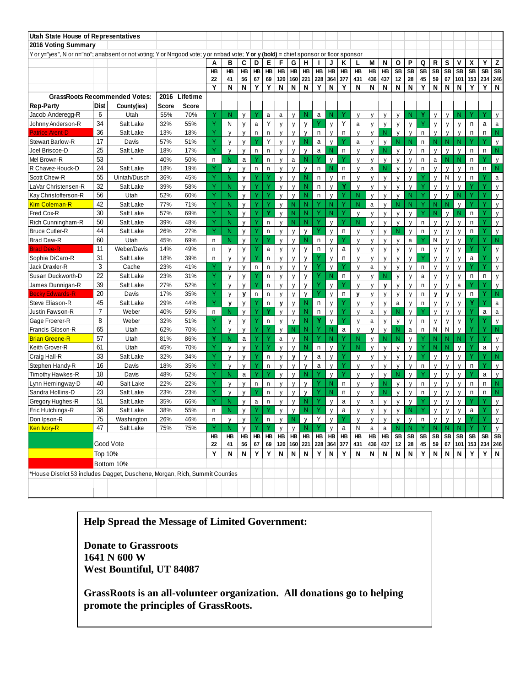| Utah State House of Representatives                                                                                                  |                |                                      |            |            |              |                   |              |           |              |                              |              |                   |                |              |              |                           |                           |                              |                           |                           |              |                    |                   |                   |                    |           |              |
|--------------------------------------------------------------------------------------------------------------------------------------|----------------|--------------------------------------|------------|------------|--------------|-------------------|--------------|-----------|--------------|------------------------------|--------------|-------------------|----------------|--------------|--------------|---------------------------|---------------------------|------------------------------|---------------------------|---------------------------|--------------|--------------------|-------------------|-------------------|--------------------|-----------|--------------|
| 2016 Voting Summary                                                                                                                  |                |                                      |            |            |              |                   |              |           |              |                              |              |                   |                |              |              |                           |                           |                              |                           |                           |              |                    |                   |                   |                    |           |              |
| Y or y="yes", N or n="no"; a=absent or not voting; Y or N=good vote; y or n=bad vote; Y or y (bold) = chief sponsor or floor sponsor |                |                                      |            |            |              |                   |              |           |              |                              |              |                   |                |              |              |                           |                           |                              |                           |                           |              |                    |                   |                   |                    |           |              |
|                                                                                                                                      |                |                                      |            |            | A            | в                 | C            | D         | E            | F                            | G            | Η                 |                | J            | Κ            | L                         | Μ                         | N                            | о                         | P                         | Q            | R                  | S                 | ۷                 | χ                  | Y         | Z            |
|                                                                                                                                      |                |                                      |            |            | HB           | <b>HB</b>         | HB           | <b>HB</b> | <b>HB</b>    | <b>HB</b>                    | <b>HB</b>    | HB                | HB             | HB           | HB           | <b>HB</b>                 | <b>HB</b>                 | <b>HB</b>                    | <b>SB</b>                 | <b>SB</b>                 | <b>SB</b>    | <b>SB</b>          | <b>SB</b>         | <b>SB</b>         | <b>SB</b>          | <b>SB</b> | <b>SB</b>    |
|                                                                                                                                      |                |                                      |            |            | 22<br>Y      | 41<br>N           | 56<br>N      | 67<br>Y   | 69<br>Y      | 120<br>N                     | 160<br>N     | 221<br>N          | 228<br>Y       | 364<br>N     | 377<br>Y     | 431<br>N                  | 436                       | 437<br>N                     | 12<br>N                   | 28<br>N                   | 45<br>Y      | 59<br>N            | 67<br>N           | 101<br>N          | 153<br>Y           | Y         | 234 246<br>N |
|                                                                                                                                      |                | <b>GrassRoots Recommended Votes:</b> | 2016       | Lifetime   |              |                   |              |           |              |                              |              |                   |                |              |              |                           | N                         |                              |                           |                           |              |                    |                   |                   |                    |           |              |
| <b>Rep-Party</b>                                                                                                                     | Dist           | County(ies)                          | Score      | Score      |              |                   |              |           |              |                              |              |                   |                |              |              |                           |                           |                              |                           |                           |              |                    |                   |                   |                    |           |              |
| Jacob Anderegg-R                                                                                                                     | 6              | Utah                                 | 55%        | 70%        |              | N                 | V            |           | a            | a                            | $\mathsf{V}$ | N                 | a              | N            |              | V                         | V                         | v                            | V                         | N                         | Y            | V                  | V                 | N                 |                    |           | $\mathsf{V}$ |
| Johnny Anderson-R                                                                                                                    | 34             | Salt Lake                            | 32%        | 55%        | Y            | Ν                 | v            | a         | Y            | $\mathsf{v}$                 | $\mathsf{V}$ | $\mathsf{V}$      |                | $\mathsf{V}$ | Υ            | a                         | $\mathsf{V}$              | $\mathsf{V}$                 | $\mathsf{V}$              | v                         | Υ            | $\mathsf{V}$       | y                 | V                 | n                  | a         | $\mathsf{a}$ |
| Patrice Arent-D                                                                                                                      | 36             | Salt Lake                            | 13%        | 18%        | Ÿ            | $\mathsf{V}$      | $\mathsf{V}$ | n         | n            | $\mathsf{v}$                 | $\mathsf{v}$ | $\mathsf{V}$      | n              | $\mathsf{V}$ | n            | $\mathsf{v}$              | $\mathsf{v}$              | N                            | V                         | $\mathsf{v}$              | n            | $\mathsf{V}$       | $\mathsf{V}$      | V                 | $\mathsf{n}$       | n         | Ν            |
| Stewart Barlow-R                                                                                                                     | 17             | Davis                                | 57%        | 51%        | Υ            | V                 | $\mathsf{v}$ |           | Y            | V                            | $\mathsf{V}$ | N                 | a              | y            |              | a                         | v                         | v                            | N                         | N                         | n            | N.                 | N                 | N                 |                    |           | y            |
| Joel Briscoe-D                                                                                                                       | 25             | Salt Lake                            | 18%        | 17%        | Y            | $\mathsf{V}$      | v            | n         | n            | v                            | $\mathsf{v}$ | $\mathsf{V}$      | a              | N            | n.           | V                         |                           | N                            | $\mathsf{V}$              | $\mathsf{v}$              | n            | v                  | $\mathsf{V}$      | V                 | $\mathsf{n}$       | n         | N            |
| Mel Brown-R                                                                                                                          | 53             |                                      | 40%        | 50%        | n            | N                 | a            |           | $\mathsf{n}$ | v                            | a            | N                 |                | $\mathsf{V}$ |              | v                         | v                         | $\mathsf{v}$                 | $\mathsf{V}$              | $\mathsf{v}$              | n            | a                  | N                 | N                 | n                  |           | $\mathsf{V}$ |
| R Chavez-Houck-D                                                                                                                     | 24             | Salt Lake                            | 18%        | 19%        | Y            | $\mathsf{v}$      | v            | n         | $\mathsf{n}$ | V                            | $\mathsf{v}$ | $\mathsf{V}$      | n              | N            | n            | $\mathsf{V}$              | a                         | N                            | $\mathsf{v}$              | $\mathsf{v}$              | n            | $\mathsf{V}$       | $\mathsf{v}$      | $\mathsf{V}$      | n                  | n         | N            |
| Scott Chew-R                                                                                                                         | 55             | Uintah/Dusch                         | 36%        | 45%        | Y            | N                 | V            |           |              | v                            | $\mathsf{v}$ | N                 | $\mathsf{n}$   | $\mathsf{V}$ | n            | $\mathsf{V}$              | v                         | $\mathsf{v}$                 | $\mathsf{V}$              | v                         |              | $\mathsf{v}$       | N                 | $\mathsf{V}$      | n                  |           | a            |
| LaVar Christensen-R                                                                                                                  | 32             | Salt Lake                            | 39%        | 58%        | Y            | N                 | V            |           |              | $\mathsf{V}$                 | $\mathsf{v}$ | N                 | n              | $\mathsf{V}$ | Υ            | V                         | V                         | $\mathsf{v}$                 | $\mathsf{v}$              | $\mathsf{v}$              |              | y                  | $\mathsf{V}$      | V                 |                    |           | $\mathsf{v}$ |
| Kay Christofferson-R                                                                                                                 | 56             | Utah                                 | 52%        | 60%        | Y            | N                 | $\mathsf{V}$ |           |              | $\mathsf{v}$                 | $\mathsf{V}$ | N                 | n              | $\mathsf{V}$ |              | N                         | $\mathbf{V}$              | $\mathsf{v}$                 | V                         | N                         | Y            | $\mathsf{V}$       | V                 | N                 |                    |           | $\mathsf{V}$ |
| <b>Kim Coleman-R</b>                                                                                                                 | 42             | Salt Lake                            | 77%        | 71%        | Ÿ            | N                 | $\mathsf{V}$ |           |              | $\mathsf{V}$                 | N            | N                 |                | N            |              | N                         | a                         | V                            | N                         | N                         | Y            | N.                 | N                 | y                 |                    | Υ         | y            |
| Fred Cox-R                                                                                                                           | 30             | Salt Lake                            | 57%        | 69%        | Y            | N                 | $\mathsf{V}$ |           | v            | $\mathsf{v}$                 | N            | N                 | v              | N            |              | $\mathsf{v}$              |                           | v                            | $\mathsf{V}$              | $\mathsf{v}$              | Y            | N                  | $\mathsf{V}$      | N                 | n                  |           | $\mathsf{V}$ |
| Rich Cunningham-R                                                                                                                    | 50             | Salt Lake                            | 39%        | 48%        | Y            | N                 | y            |           | n            | y                            | N            | N                 | Υ              | $\mathsf{V}$ | Ÿ            | N                         | V                         | v                            | y                         | v                         | n            | V                  | v                 | y                 | n                  |           | y            |
| <b>Bruce Cutler-R</b>                                                                                                                | 44             | Salt Lake                            | 26%        | 27%        | Y            | N                 | $\mathsf{V}$ |           | $\mathsf{n}$ | $\mathsf{v}$                 | $\mathsf{v}$ | $\mathsf{V}$      |                | $\mathsf{V}$ | n            | $\mathsf{V}$              | $\mathsf{v}$              | $\mathsf{v}$                 | N                         | $\mathsf{V}$              | n            | $\mathsf{v}$       | $\mathsf{V}$      | $\mathsf{v}$      | $\mathsf{n}$       |           | $\mathsf{V}$ |
| <b>Brad Daw-R</b>                                                                                                                    | 60             | Utah                                 | 45%        | 69%        | n            | N                 | V            |           |              | v                            | $\mathsf{V}$ | N                 | n              | $\mathsf{V}$ |              | v                         | V                         | V                            | $\mathsf{v}$              | a                         |              | N                  | $\mathsf{V}$      | $\mathsf{V}$      |                    | ٧         | N            |
| <b>Brad Dee-R</b>                                                                                                                    | 11             | Weber/Davis                          | 14%        | 49%        | n            | v                 | $\mathsf{V}$ |           | a            | $\mathsf{v}$                 | $\mathsf{v}$ | $\mathsf{V}$      | n              | $\mathsf{v}$ | a            | $\mathsf{V}$              | $\mathsf{v}$              | $\mathsf{v}$                 | $\mathsf{v}$              | $\mathsf{v}$              | n            | $\mathsf{v}$       | $\mathsf{v}$      | $\mathsf{V}$      |                    |           | $\mathsf{V}$ |
| Sophia DiCaro-R                                                                                                                      | 31             | Salt Lake                            | 18%        | 39%        | n            | V                 | V            |           | $\mathsf{n}$ | V                            | V            | V                 |                | $\mathsf{v}$ | n            | V                         | V                         | v                            | $\mathsf{V}$              | v                         |              | $\mathsf{V}$       | V                 | V                 | a                  |           | y            |
| Jack Draxler-R                                                                                                                       | 3              | Cache                                | 23%        | 41%        | Y            | $\mathsf{V}$      | V            | n         | $\mathsf{n}$ | $\mathsf{v}$                 | $\mathsf{v}$ | $\mathsf{V}$      |                | $\mathsf{v}$ |              | $\mathsf{v}$              | a                         | $\mathsf{v}$                 | $\mathsf{v}$              | $\mathsf{v}$              | n            | $\mathsf{v}$       | $\mathsf{v}$      | $\mathsf{V}$      |                    |           | $\mathsf{V}$ |
| Susan Duckworth-D                                                                                                                    | 22             | Salt Lake                            | 23%        | 31%        | Ÿ            | V                 | V            |           | $\mathsf{n}$ | V                            | $\mathsf{v}$ | $\mathsf{V}$      |                | N            | n            | V                         | $\mathsf{V}$              | ${\sf N}$                    | V                         | v                         | a            | $\mathsf{v}$       | $\mathsf{v}$      | V                 | n                  | n         | y            |
| James Dunnigan-R                                                                                                                     | 39             | Salt Lake                            | 27%        | 52%        | Y            | $\mathsf{V}$      | $\mathsf{v}$ |           | $\mathsf{n}$ | v                            | $\mathsf{V}$ | $\mathsf{V}$      |                | $\mathsf{v}$ |              | v                         | v                         | v                            | $\mathsf{V}$              | $\mathsf{v}$              | n            | $\mathsf{v}$       | $\mathsf{V}$      | a                 |                    |           | $\mathsf{V}$ |
| <b>Becky Edwards-R</b>                                                                                                               | 20             | Davis                                | 17%        | 35%        | Y            | V                 | v            | n         | n            | V                            | $\mathsf{v}$ | $\mathsf{V}$      |                | $\mathsf{V}$ | n            | V                         | $\mathsf{V}$              | $\mathsf{V}$                 | $\mathsf{V}$              | $\mathsf{v}$              | n            | v                  | v                 | $\mathsf{V}$      | $\mathsf{n}$       |           | N            |
| Steve Eliason-R                                                                                                                      | 45             | Salt Lake                            | 29%        | 44%        | Y            | $\mathbf v$       | $\mathsf{v}$ |           | $\mathsf{n}$ | v                            | $\mathsf{V}$ | N                 | n              | $\mathsf{V}$ |              | v                         | v                         | $\mathsf{v}$                 | a                         | $\mathsf{v}$              | n            | $\mathsf{v}$       | v                 | v                 | Y                  | Y         | a            |
| Justin Fawson-R                                                                                                                      | $\overline{7}$ | Weber                                | 40%        | 59%        | n            | N                 | $\mathsf{V}$ |           | Y            | $\mathsf{v}$                 | $\mathsf{V}$ | N                 | $\mathsf{n}$   | $\mathsf{V}$ | Ÿ            | V                         | a                         | $\mathsf{v}$                 | N                         | $\mathsf{v}$              |              | $\mathsf{v}$       | $\mathsf{V}$      | $\mathsf{V}$      |                    | a         | $\mathsf{a}$ |
| Gage Froerer-R                                                                                                                       | 8              | Weber                                | 32%        | 51%        | Y            | $\mathsf{v}$      | v            |           | $\mathsf{n}$ | v                            | $\mathsf{V}$ | N                 |                | $\mathsf{V}$ | Y            | $\mathsf{V}$              | a                         | $\mathsf{v}$                 | $\mathsf{v}$              | $\mathsf{v}$              | n            | v                  | V                 | V                 |                    |           | $\mathsf{V}$ |
| Francis Gibson-R                                                                                                                     | 65             | Utah                                 | 62%        | 70%        | Y            | $\mathsf{V}$      | $\mathsf{V}$ | v         |              | $\mathsf{v}$                 | N            | N                 | Y              | N            | a            | $\mathsf{V}$              | v                         | $\mathsf{v}$                 | N                         | $\mathsf{a}$              | n            | N                  | N                 | $\mathsf{V}$      |                    |           | N            |
| <b>Brian Greene-R</b>                                                                                                                | 57             | Utah                                 | 81%        | 86%        | Ÿ            | N                 | a            |           |              | a                            | $\mathsf{V}$ | Ν                 | Υ              | N            |              | N                         | $\mathsf{V}$              | N                            | N                         | $\mathsf{v}$              |              | N                  | N                 | N                 | ٧                  | Ÿ         | y            |
| Keith Grover-R                                                                                                                       | 61             | Utah                                 | 45%        | 70%        | Y            | $\mathsf{v}$      | $\mathsf{v}$ |           |              | $\mathsf{v}$                 | $\mathbf{V}$ | N                 | n              | $\mathsf{v}$ |              | N                         | $\mathsf{v}$              | $\mathsf{v}$                 | $\mathsf{v}$              | $\mathsf{v}$              | Y            | N                  | N                 | $\mathsf{v}$      |                    | a         | $\mathsf{V}$ |
| Craig Hall-R                                                                                                                         | 33             | Salt Lake                            | 32%        | 34%        | Υ            | $\mathsf{V}$      | $\mathsf{v}$ |           | $\mathsf{n}$ | V                            | $\mathbf v$  | v                 | a              | V            |              | $\mathsf{V}$              | $\mathsf{v}$              | V                            | V                         | $\mathsf{v}$              |              | V                  | $\mathsf{V}$      | $\mathsf{V}$      |                    |           | N            |
| Stephen Handy-R                                                                                                                      | 16             | Davis                                | 18%        | 35%        | Y            | V                 | v            |           | $\mathsf{n}$ | $\mathsf{v}$                 | $\mathsf{V}$ | $\mathsf{V}$      | a              | $\mathsf{v}$ |              | V                         | v                         | $\mathsf{v}$                 | $\mathsf{v}$              | $\mathsf{v}$              | n            | $\mathsf{v}$       | $\mathsf{V}$      | $\mathsf{v}$      | n                  |           | $\mathsf{V}$ |
| Timothy Hawkes-R                                                                                                                     | 18             | Davis                                | 48%        | 52%        | Y            | N                 | a            |           |              | v                            | $\mathsf{V}$ | N                 | Υ              | y            | Υ            | v                         | V                         | V                            | N                         | $\mathsf{v}$              |              | V                  | V                 | y                 |                    | a         | y            |
| Lynn Hemingway-D                                                                                                                     | 40             | Salt Lake                            | 22%        | 22%        | Y            | v                 | v            | n         | n            | v                            | $\mathsf{V}$ | $\mathsf{V}$      |                | N            | n            | v                         | $\mathsf{v}$              | N                            | $\mathsf{V}$              | $\mathsf{v}$              | n            | $\mathsf{v}$       | $\mathsf{v}$      | $\mathsf{v}$      | n                  | n         | N            |
| Sandra Hollins-D<br><b>Gregory Hughes-R</b>                                                                                          | 23             | Salt Lake                            | 23%        | 23%        | Y<br>Y       | V<br>N            | $\mathsf{V}$ |           | $\mathsf{n}$ | v                            | $\mathsf{v}$ | $\mathsf{V}$<br>N | Y              | N            | n            | V                         | $\mathsf{V}$              | N                            | $\mathsf{v}$              | $\mathsf{v}$              | n            | $\mathsf{V}$       | $\mathsf{V}$      | $\mathsf{V}$      | n                  | n         | N            |
| Eric Hutchings-R                                                                                                                     | 51<br>38       | Salt Lake<br>Salt Lake               | 35%<br>38% | 66%        |              |                   | $\mathsf{V}$ | a         | n            | $\mathsf{V}$                 | $\mathsf{V}$ | N                 |                | $\mathsf{v}$ | a            | $\mathsf{V}$              | a                         | $\mathsf{v}$                 | $\mathsf{V}$              | $\mathsf{V}$<br>${\sf N}$ |              | $\mathsf{v}$       | $\mathsf{V}$      | $\mathsf{v}$      |                    |           | $\mathsf{v}$ |
| Don Ipson-R                                                                                                                          | 75             |                                      | 26%        | 55%        | n            | N                 | y            |           |              | y                            | y<br>N       |                   | Υ              | y            | a            | y<br>$\mathbf{v}$         | y                         | y                            | y                         |                           |              | y                  | y                 | y                 | a                  |           | y            |
| Ken Ivory-R                                                                                                                          | 47             | Washington<br>Salt Lake              | 75%        | 46%<br>75% | $\sf n$<br>Y | $\mathsf{V}$<br>N | ٧<br>y       |           | $\mathsf{n}$ | $\mathsf{V}$<br>$\mathsf{v}$ |              | $\mathsf{V}$<br>N | Y              | $\mathsf{V}$ | $\mathsf{a}$ | N                         | $\mathsf{v}$<br>a         | $\mathsf{v}$<br>$\mathsf{a}$ | $\mathsf{V}$<br>N         | $\mathsf{v}$<br>N.        | $\mathsf{n}$ | $\mathsf{V}$<br>N. | $\mathsf{V}$<br>N | $\mathsf{V}$<br>N |                    |           | $\mathsf{V}$ |
|                                                                                                                                      |                |                                      |            |            | HB           | HB                | HB           | $H\!B$    | <b>HB</b>    | $\overline{B}$               | V<br>$H\!B$  | HB                | $\overline{H}$ | y<br>HB      | HB           | HB                        | HB                        | $H\!B$                       | SB                        | SB                        | SB           | SB                 | SB SB             |                   | SB                 | SB SB     | y            |
|                                                                                                                                      |                | Good Vote                            |            |            | 22           | 41                | 56           | 67        |              | 69 120 160 221               |              |                   | 228 364        |              | 377          | 431                       | 436                       | 437                          | $12\,$                    | ${\bf 28}$                | $\bf 45$     | 59                 |                   |                   | 67 101 153 234 246 |           |              |
|                                                                                                                                      | <b>Top 10%</b> |                                      |            |            | Y            | N                 | N            | Y         | Y            | $\boldsymbol{\mathsf{N}}$    | N            | N                 | Y              | N            | Υ            | $\boldsymbol{\mathsf{N}}$ | $\boldsymbol{\mathsf{N}}$ | $\boldsymbol{\mathsf{N}}$    | $\boldsymbol{\mathsf{N}}$ | $\boldsymbol{\mathsf{N}}$ | Y            | $\mathsf N$        | N                 | ${\sf N}$         | Y                  |           | $Y$ N        |
|                                                                                                                                      |                | Bottom 10%                           |            |            |              |                   |              |           |              |                              |              |                   |                |              |              |                           |                           |                              |                           |                           |              |                    |                   |                   |                    |           |              |
| *House District 53 includes Dagget, Duschene, Morgan, Rich, Summit Counties                                                          |                |                                      |            |            |              |                   |              |           |              |                              |              |                   |                |              |              |                           |                           |                              |                           |                           |              |                    |                   |                   |                    |           |              |
|                                                                                                                                      |                |                                      |            |            |              |                   |              |           |              |                              |              |                   |                |              |              |                           |                           |                              |                           |                           |              |                    |                   |                   |                    |           |              |
|                                                                                                                                      |                |                                      |            |            |              |                   |              |           |              |                              |              |                   |                |              |              |                           |                           |                              |                           |                           |              |                    |                   |                   |                    |           |              |
|                                                                                                                                      |                |                                      |            |            |              |                   |              |           |              |                              |              |                   |                |              |              |                           |                           |                              |                           |                           |              |                    |                   |                   |                    |           |              |

# **Help Spread the Message of Limited Government:**

**Donate to Grassroots 1641 N 600 W West Bountiful, UT 84087**

**GrassRoots is an all-volunteer organization. All donations go to helping promote the principles of GrassRoots.**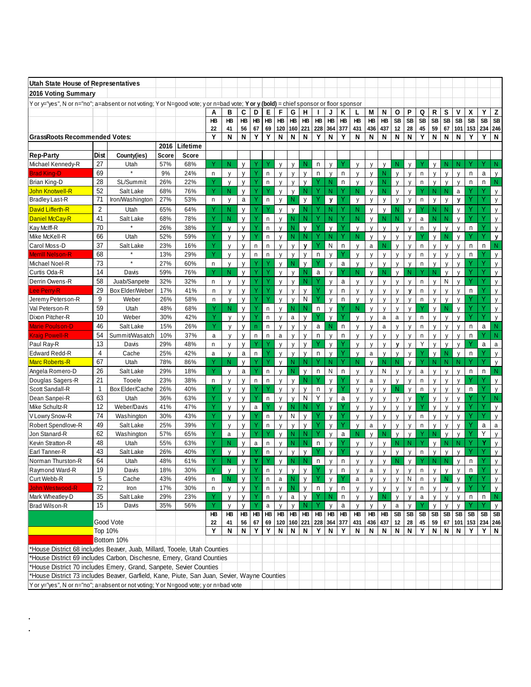| Utah State House of Representatives                                                                                                       |                |                     |            |                |         |                   |              |              |              |                   |              |              |              |                   |         |                   |                   |                   |                   |                              |                |                   |                   |                   |              |           |                   |
|-------------------------------------------------------------------------------------------------------------------------------------------|----------------|---------------------|------------|----------------|---------|-------------------|--------------|--------------|--------------|-------------------|--------------|--------------|--------------|-------------------|---------|-------------------|-------------------|-------------------|-------------------|------------------------------|----------------|-------------------|-------------------|-------------------|--------------|-----------|-------------------|
| 2016 Voting Summary                                                                                                                       |                |                     |            |                |         |                   |              |              |              |                   |              |              |              |                   |         |                   |                   |                   |                   |                              |                |                   |                   |                   |              |           |                   |
| Yor y="yes", N or n="no"; a=absent or not voting; Y or N=good vote; y or n=bad vote; Y or y (bold) = chief sponsor or floor sponsor       |                |                     |            |                |         |                   |              |              |              |                   |              |              |              |                   |         |                   |                   |                   |                   |                              |                |                   |                   |                   |              |           |                   |
|                                                                                                                                           |                |                     |            |                | Α       | в                 | C            | D            | Е            | F                 | G            | н            |              | J                 | Κ       | L                 | М                 | N                 | Ο                 | P                            | Q              | R                 | s                 | ٧                 | X            | Y         | Z                 |
|                                                                                                                                           |                |                     |            |                | HB      | НB                | HB           | HB           | HB           | HB                | HB           | HB           | HB           | HB                | HB      | HB                | HB                | HB                | <b>SB</b>         | <b>SB</b>                    | SB             | <b>SB</b>         | <b>SB</b>         | SB                | SB           | <b>SB</b> | <b>SB</b>         |
|                                                                                                                                           |                |                     |            |                | 22      | 41                | 56           | 67           | 69           | 120               | 160          | 221          | 228          | 364               | 377     | 431               | 436               | 437               | 12                | 28                           | 45             | 59                | 67                | 101               | 153          | 234       | 246               |
| <b>GrassRoots Recommended Votes:</b>                                                                                                      |                |                     |            |                | Y       | N                 | N            | Υ            | Y            | N                 | N            | N            | Υ            | N                 | Y       | N                 | N                 | N                 | N                 | N                            | Y              | N                 | Ν                 | N                 | Υ            | Υ         | N                 |
|                                                                                                                                           |                |                     | 2016       | Lifetime       |         |                   |              |              |              |                   |              |              |              |                   |         |                   |                   |                   |                   |                              |                |                   |                   |                   |              |           |                   |
| <b>Rep-Party</b>                                                                                                                          | Dist           | County(ies)         | Score      | Score          |         |                   |              |              |              |                   |              |              |              |                   |         |                   |                   |                   |                   |                              |                |                   |                   |                   |              |           |                   |
| Michael Kennedy-R                                                                                                                         | 27<br>69       | Utah                | 57%        | 68%            | Υ       | N                 | v            | v            |              | $\mathsf{V}$      | $\mathsf{V}$ | Ν            | n            | V                 | Υ       | V                 | $\mathsf{v}$      | y                 | N                 | V                            | Υ              | $\mathsf{v}$      | N                 | N                 | Y            | ◆         | N                 |
| <b>Brad King-D</b><br>Brian King-D                                                                                                        | 28             | SL/Summit           | 9%<br>26%  | 24%<br>22%     | n<br>Y  | V                 | v<br>v       | Υ            | n<br>n       | y                 | y<br>y       | V<br>y       | n            | y<br>N            | n<br>n  | V                 | V<br>V            | N<br>N            | $\mathsf{V}$<br>V | $\mathsf{V}$<br>V            | n<br>n         | V                 | y                 | $\mathsf{V}$<br>y | n<br>n       | a<br>n    | $\mathsf{V}$<br>N |
| <b>John Knotwell-R</b>                                                                                                                    | 52             | Salt Lake           | 68%        | 76%            | Y       | y<br>N            | v            | Y            | γ            | y<br>V            | y            | N            |              | N                 | Y       | y<br>N            | $\mathsf{V}$      | N                 | $\mathsf{V}$      | $\mathsf{V}$                 | Υ              | y<br>N            | y<br>N            | a                 |              | Υ         | $\mathsf{V}$      |
| <b>Bradley Last-R</b>                                                                                                                     | 71             | Iron/Washington     | 27%        | 53%            | n       | y                 | a            |              | n            | y                 | Ν            | y            |              | y                 |         | y                 | y                 | y                 | y                 | y                            | n              | y                 | y                 | y                 |              |           | y                 |
| David Lifferth-R                                                                                                                          | $\overline{2}$ | Utah                | 65%        | 64%            | Y       | N                 | v            |              |              | $\mathsf{v}$      | $\mathsf{V}$ | Ν            |              | N                 | Y       | N                 | v                 | $\mathsf{V}$      | N                 | $\mathsf{V}$                 | ٧              | N                 | N                 | V                 |              | Y         | $\mathsf{V}$      |
| <b>Daniel McCay-R</b>                                                                                                                     | 41             | Salt Lake           | 68%        | 78%            | Ÿ       | N                 | $\mathsf{v}$ | Υ            | n            | y                 | N            | N            | Ÿ            | N                 | Υ       | N                 | $\mathsf{V}$      | N                 | N                 | $\mathsf{V}$                 | a              | N                 | ${\sf N}$         | y                 | Y            | Ÿ         | $\mathsf{V}$      |
| Kay Mclff-R                                                                                                                               | 70             |                     | 26%        | 38%            | Ÿ       | $\mathsf{V}$      | v            | Υ            | n            | V                 | N            | V            | Ÿ            | V                 | Ÿ       | $\mathsf{V}$      | $\mathsf{V}$      | $\mathsf{V}$      | v                 | $\mathsf{V}$                 | n              | $\mathsf{v}$      | y                 | $\mathsf{V}$      | n            | Υ         | $\mathsf{V}$      |
| Mike McKell-R                                                                                                                             | 66             | Utah                | 52%        | 59%            | Ÿ       | V                 | V            |              | n            | $\mathsf{V}$      | N            | N            |              | N                 | Υ       | N                 | $\mathsf{V}$      | $\mathsf{y}$      | V                 | V                            | Υ              | v                 | N                 | y                 |              | Υ         | y                 |
| Carol Moss-D                                                                                                                              | 37             | Salt Lake           | 23%        | 16%            | Y       | $\mathsf{V}$      | V            | n            | n            | V                 | $\mathsf{V}$ | v            | Υ            | N                 | n       | $\mathsf{V}$      | a                 | N                 | $\mathsf{V}$      | $\mathsf{V}$                 | n              | V                 | y                 | V                 | n            | n         | N                 |
| <b>Merrill Nelson-R</b>                                                                                                                   | 68             | $\star$             | 13%        | 29%            | Ÿ       | $\mathsf{V}$      | $\mathsf{V}$ | n            | n            | $\mathsf{V}$      | $\mathsf{V}$ | $\mathsf{V}$ | n            | $\mathsf{V}$      |         | $\mathsf{V}$      | $\mathsf{v}$      | $\mathsf{v}$      | v                 | $\mathsf{v}$                 | $\overline{D}$ | V                 | $\mathsf{V}$      | $\mathsf{V}$      | $\mathsf{n}$ |           | $\mathsf{v}$      |
| Michael Noel-R                                                                                                                            | 73             | $\star$             | 27%        | 60%            | n       | y                 | V            |              |              | y                 | N            | y            |              | y                 | a       | y                 | V                 | y                 | V                 | y                            | n              | y                 | y                 | y                 |              | Ÿ         | y                 |
| Curtis Oda-R                                                                                                                              | 14             | Davis               | 59%        | 76%            | Y       | N                 | $\mathsf{v}$ | ٧            | Y            | $\mathsf{v}$      | y            | N            | a            | $\mathsf{V}$      | Υ       | N                 | $\mathsf{V}$      | Ν                 | $\mathsf{V}$      | Ν                            | v              | N                 | $\mathsf{V}$      | $\mathsf{V}$      | Υ            | Ÿ         | $\mathsf{v}$      |
| Derrin Owens-R                                                                                                                            | 58             | Juab/Sanpete        | 32%        | 32%            | n       | V                 | v            | ٧            |              | y                 | y            | N            |              | $\mathsf{V}$      | a       | V                 | $\mathsf{V}$      | v                 | V                 | V                            | n              | V                 | N                 | V                 | Y            | Y         | $\mathsf{V}$      |
| Lee Perry-R                                                                                                                               | 29             | Box Elder/Weber     | 17%        | 41%            | n       | V                 | v            |              |              | $\mathsf{V}$      | y            | V            |              | $\mathsf{V}$      | n       | $\mathsf{V}$      | $\mathsf{V}$      | $\mathsf{V}$      | v                 | $\mathbf{v}$                 | n              | $\mathsf{v}$      | y                 | V                 | n            |           | $\mathsf{V}$      |
| Jeremy Peterson-R                                                                                                                         | 9              | Weber               | 26%        | 58%            | n       | V                 | V            |              |              | $\mathsf{V}$      | $\mathsf{V}$ | N            |              | $\mathsf{V}$      | n       | $\mathsf{V}$      | v                 | V                 | V                 | V                            | n              | $\mathsf{v}$      | y                 | $\mathsf{V}$      |              | v         | $\mathsf{V}$      |
| Val Peterson-R                                                                                                                            | 59             | Utah                | 48%        | 68%            | Y       | N                 | V            | Υ            | n            | y                 | N            | N            | n            | y                 | Y       | N                 | V                 | y                 | V                 | $\mathsf{V}$                 | Υ              | y                 | N                 | y                 | Υ            | Υ         | y                 |
| Dixon Pitcher-R                                                                                                                           | 10             | Weber               | 30%        | 42%            | Ÿ       | $\mathbf{v}$      | $\mathsf{v}$ | Ÿ            | n            | $\mathsf{V}$      | a            | $\mathsf{V}$ | Υ            | $\mathsf{v}$      | Ÿ       | $\mathsf{v}$      | $\mathsf{V}$      | a                 | $\mathsf{a}$      | $\mathbf{v}$                 | n              | $\mathbf{v}$      | $\mathsf{v}$      | $\mathsf{v}$      | Y            | Ÿ         | $\mathsf{v}$      |
| <b>Marie Poulson-D</b>                                                                                                                    | 46             | Salt Lake           | 15%        | 26%            | Ÿ       | V                 | V            | n            | n            | y                 | $\mathsf{V}$ | $\mathsf{V}$ | a            | N                 | n       | V                 | $\mathsf{v}$      | a                 | V                 | $\mathsf{V}$                 | n              | V                 | y                 | V                 | n            | a         | N                 |
| <b>Kraig Powell-R</b>                                                                                                                     | 54             | Summit/Wasatch      | 10%        | 37%            | a       | V                 | $\mathsf{V}$ | n            | n            | $\mathsf{a}$      | $\mathsf{V}$ | $\mathsf{V}$ | n            | $\mathsf{V}$      | n       | V                 | $\mathsf{v}$      | $\mathsf{v}$      | V                 | $\mathsf{v}$                 | $\overline{p}$ | $\mathsf{v}$      | $\mathsf{V}$      | $\mathsf{V}$      | $\mathsf{n}$ | v         | N                 |
| Paul Ray-R                                                                                                                                | 13             | Davis               | 29%        | 48%            | n       | $\mathsf{V}$      | V            |              |              | $\mathsf{V}$      | V            | V            |              | V                 |         | v                 | $\mathsf{V}$      | v                 | v                 | $\mathsf{V}$                 | Υ              | v                 | y                 | v                 |              | a         | a                 |
| <b>Edward Redd-R</b>                                                                                                                      | 4              | Cache               | 25%        | 42%            | a       | y                 | a            | n            | ٧            | $\mathsf{v}$      | $\mathsf{V}$ | $\mathsf{V}$ | n            | $\mathsf{y}$      | Y       | $\mathsf{y}$      | a                 | $\mathsf{V}$      | $\mathsf{V}$      | $\mathsf{V}$                 | Υ              | y                 | N                 | y                 | n            |           | $\mathsf{V}$      |
| <b>Marc Roberts-R</b>                                                                                                                     | 67<br>26       | Utah                | 78%        | 86%            | Ÿ<br>Ÿ  | N                 | V            |              |              | $\mathsf{V}$      | N            | N            |              | N                 | Υ       | N                 | V                 | N                 | N                 | V                            | Ÿ              | N                 | N                 | N                 |              | Ÿ         | $\mathsf{V}$      |
| Angela Romero-D                                                                                                                           | 21             | Salt Lake<br>Tooele | 29%<br>23% | 18%<br>38%     |         | V<br>$\mathsf{v}$ | a<br>v       | n            | n            | y<br>$\mathsf{V}$ | N            | y<br>N       | n            | N<br>$\mathsf{V}$ | n<br>Υ  | y<br>$\mathsf{V}$ | $\mathsf{V}$      | Ν<br>$\mathsf{V}$ | y<br>V            | $\mathsf{V}$<br>$\mathbf{v}$ | a<br>n         | V<br>$\mathsf{v}$ | у<br>$\mathsf{V}$ | y<br>$\mathsf{V}$ | n            | n<br>Y    | N<br>$\mathsf{V}$ |
| Douglas Sagers-R<br>Scott Sandall-R                                                                                                       | $\mathbf{1}$   | Box Elder/Cache     | 26%        | 40%            | n<br>Y  | $\mathsf{V}$      | V            | Υ            | n<br>Y       | y                 | y<br>y       | V            | n            | y                 | Υ       | y                 | a<br>$\mathsf{V}$ | V                 | N                 | $\mathsf{V}$                 | n              | V                 | y                 | y                 | n            |           | y                 |
| Dean Sanpei-R                                                                                                                             | 63             | Utah                | 36%        | 63%            | Ÿ       | V                 | v            | Y            | n            | y                 | y            | N            | Υ            | y                 | a       | V                 | V                 | V                 | V                 | $\mathsf{V}$                 | Ÿ              | V                 | y                 | y                 | Y            | Y         | N                 |
| Mike Schultz-R                                                                                                                            | 12             | Weber/Davis         | 41%        | 47%            | Y       | $\mathsf{V}$      | V            | $\mathsf{a}$ | γ            | $\mathsf{V}$      | N            | N            |              | $\mathsf{V}$      |         | $\mathsf{v}$      | $\mathsf{V}$      | v                 | v                 | $\mathsf{V}$                 | Ÿ              | $\mathsf{V}$      | V                 | $\mathsf{V}$      | Υ            | Y         | $\mathsf{V}$      |
| V Lowry Snow-R                                                                                                                            | 74             | Washington          | 30%        | 43%            | Ÿ       | $\mathsf{V}$      | $\mathsf{v}$ |              | n            | $\mathsf{V}$      | N            | $\mathsf{V}$ |              | $\mathsf{V}$      | Ÿ       | $\mathsf{V}$      | $\mathsf{V}$      | $\mathsf{V}$      | v                 | $\mathsf{v}$                 | n              | V                 | $\mathsf{V}$      | $\mathsf{V}$      |              | Y         | $\mathsf{v}$      |
| Robert Spendlove-R                                                                                                                        | 49             | Salt Lake           | 25%        | 39%            | Ÿ       | $\mathsf{V}$      | V            |              | n            | $\mathsf{V}$      | $\mathsf{V}$ | V            |              | $\mathsf{V}$      | Υ       | V                 | a                 | V                 | V                 | $\mathsf{V}$                 | n              | V                 | V                 | v                 |              | a         | $\mathsf a$       |
| Jon Stanard-R                                                                                                                             | 62             | Washington          | 57%        | 65%            | Ÿ       | a                 | v            | ٧            | Y            | y                 | Ν            | N            |              | y                 | a       | N                 | $\mathsf{V}$      | N                 | $\mathsf{V}$      | $\mathsf{V}$                 | Y              | N                 | y                 | y                 |              | Υ         | $\mathsf{v}$      |
| Kevin Stratton-R                                                                                                                          | 48             | Utah                | 55%        | 63%            | Ÿ       | N                 | V            | a            | n            | y                 | N            | N            | $\mathsf{n}$ | y                 | Υ       | y                 | y                 | y                 | N                 | N                            | Υ              | $\mathsf{v}$      | N                 | N                 |              | Y         | y                 |
| Earl Tanner-R                                                                                                                             | 43             | Salt Lake           | 26%        | 40%            | v       | $\mathsf{v}$      | $\mathbf{v}$ | $\vee$       | $\mathsf n$  | $\mathbf{v}$      | y            | y            | v            | $\mathbf{v}$      | $\vee$  | $\mathbf{v}$      | $\mathbf{v}$      | $\mathbf{v}$      | $\mathbf{v}$      | $\mathbf{v}$                 | n              | $\mathbf{v}$      | y                 | $\mathbf{v}$      |              | $\vee$    |                   |
| Norman Thurston-R                                                                                                                         | 64             | Utah                | 48%        | 61%            | Y       | N,                | V            | Y            |              | y                 | N            | N            | n            | y                 | n       | y                 | V                 | y                 | N                 | y                            | Ÿ              | N.                | N                 | y                 | n            |           | y                 |
| Raymond Ward-R                                                                                                                            | 19             | Davis               | 18%        | 30%            | Y       | y                 | v            |              | $\mathsf{n}$ | y                 | y            | V            |              | y                 | n       | V                 | a                 | $\mathsf{V}$      | $\mathsf{V}$      | $\mathsf{V}$                 | n              |                   | y                 | V                 | n            |           | $\mathsf{V}$      |
| Curt Webb-R                                                                                                                               | 5              | Cache               | 43%        | 49%            | n       | N                 | v            |              | n            | a                 |              | y            |              | y                 |         | a                 |                   |                   |                   | N                            | n              |                   | N                 | y                 |              |           |                   |
| <b>John Westwood-R</b>                                                                                                                    | 72             | Iron                | 17%        | 30%            | n       | V                 | v            |              | $\mathsf{n}$ |                   | N            | y            | n            | y                 | n       | V                 | $\mathsf{V}$      | y                 | $\mathsf{V}$      |                              | n              |                   |                   | V                 | Y            | Y         | y                 |
| Mark Wheatley-D                                                                                                                           | 35             | Salt Lake           | 29%        | 23%            | Y       | $\mathsf{V}$      | v            | Y            | $\mathsf n$  | $\mathsf{V}$      | a            | $\mathsf{v}$ |              | N                 | n       | $\mathsf{V}$      | $\mathsf{V}$      | $\mathsf{N}$      | $\mathsf{v}$      | $\mathsf{v}$                 | a              | $\mathsf{v}$      | y                 | y                 | n            | n         | N.                |
| Brad Wilson-R                                                                                                                             | 15             | Davis               | 35%        | 56%            | Y<br>HB | y<br>HB           | V            |              | a            | y                 | y            | N            |              | y                 | a       | y                 | y                 | y                 | a                 | y                            |                | y                 | у                 | y                 |              |           | y                 |
|                                                                                                                                           |                | $HB$ $HB$           | HB         | $\overline{H}$ | HB      | HB<br>160 221     | <b>HB</b>    | <b>THB</b>   | HB           | HB                | HB           | HB           |              | SB SB             | SB      | SB                |                   | SB SB             | SB                | SB SB                        |                |                   |                   |                   |              |           |                   |
|                                                                                                                                           | 56<br>N        | 67<br>Y             | 69<br>Y    | 120<br>N       | N       | N                 | 228 364<br>Y | $\mathbf N$  | 377<br>Y     | 431<br>N          | 436<br>N     | 437<br>N     | 12<br>N      | 28<br>N           | 45<br>Y | 59<br>N           | N                 | ${\bf N}$         | Y                 | 67 101 153 234 246<br>ΥI     | $\mathbf N$    |                   |                   |                   |              |           |                   |
|                                                                                                                                           | Top 10%        | Bottom 10%          |            |                | Y       | N                 |              |              |              |                   |              |              |              |                   |         |                   |                   |                   |                   |                              |                |                   |                   |                   |              |           |                   |
| House District 68 includes Beaver, Juab, Millard, Tooele, Utah Counties                                                                   |                |                     |            |                |         |                   |              |              |              |                   |              |              |              |                   |         |                   |                   |                   |                   |                              |                |                   |                   |                   |              |           |                   |
|                                                                                                                                           |                |                     |            |                |         |                   |              |              |              |                   |              |              |              |                   |         |                   |                   |                   |                   |                              |                |                   |                   |                   |              |           |                   |
| House District 69 includes Carbon, Dischesne, Emery, Grand Counties<br>'House District 70 includes Emery, Grand, Sanpete, Sevier Counties |                |                     |            |                |         |                   |              |              |              |                   |              |              |              |                   |         |                   |                   |                   |                   |                              |                |                   |                   |                   |              |           |                   |
| *House District 73 includes Beaver, Garfield, Kane, Piute, San Juan, Sevier, Wayne Counties                                               |                |                     |            |                |         |                   |              |              |              |                   |              |              |              |                   |         |                   |                   |                   |                   |                              |                |                   |                   |                   |              |           |                   |
| Y or y="yes", N or n="no"; a=absent or not voting; Y or N=good vote; y or n=bad vote                                                      |                |                     |            |                |         |                   |              |              |              |                   |              |              |              |                   |         |                   |                   |                   |                   |                              |                |                   |                   |                   |              |           |                   |

..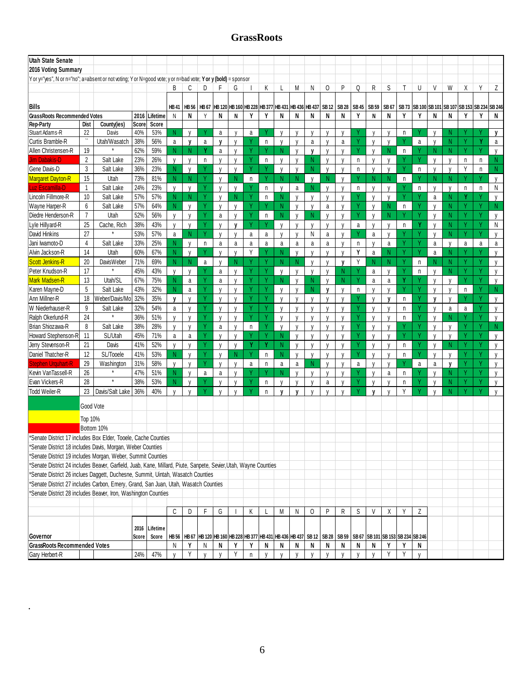# **GrassRoots**

|                                                                                                                                                                                |                    |                   |       |               |              |              |              |              |              | UL ASSINUULS |    |                                                                                                            |              |              |              |              |             |              |              |             |   |                                    |              |              |              |               |
|--------------------------------------------------------------------------------------------------------------------------------------------------------------------------------|--------------------|-------------------|-------|---------------|--------------|--------------|--------------|--------------|--------------|--------------|----|------------------------------------------------------------------------------------------------------------|--------------|--------------|--------------|--------------|-------------|--------------|--------------|-------------|---|------------------------------------|--------------|--------------|--------------|---------------|
| <b>Utah State Senate</b>                                                                                                                                                       |                    |                   |       |               |              |              |              |              |              |              |    |                                                                                                            |              |              |              |              |             |              |              |             |   |                                    |              |              |              |               |
| 2016 Voting Summary                                                                                                                                                            |                    |                   |       |               |              |              |              |              |              |              |    |                                                                                                            |              |              |              |              |             |              |              |             |   |                                    |              |              |              |               |
| Y or y="yes", N or n="no"; a=absent or not voting; Y or N=good vote; y or n=bad vote; Y or y (bold) = sponsor                                                                  |                    |                   |       |               |              |              |              |              |              |              |    |                                                                                                            |              |              |              |              |             |              |              |             |   |                                    |              |              |              |               |
|                                                                                                                                                                                |                    |                   |       |               | B            | C            | D            | F            | G            |              | Κ  |                                                                                                            | M            | N            | 0            | P            | Q           | R            | S            | т           | U | V                                  | W            | Χ            | Y            | Z             |
|                                                                                                                                                                                |                    |                   |       |               |              |              |              |              |              |              |    |                                                                                                            |              |              |              |              |             |              |              |             |   |                                    |              |              |              |               |
| Bills                                                                                                                                                                          |                    |                   |       |               | <b>HB41</b>  | <b>HB 56</b> | HB 67        |              |              |              |    | HB 120 HB 160 HB 228 HB 377 HB 431 HB 436 HB 437                                                           |              |              | <b>SB12</b>  | <b>SB 28</b> | <b>SB45</b> | <b>SB 59</b> | SB 67        | <b>SB73</b> |   | SB 100 SB 101 SB 107 SB 153 SB 234 |              |              |              | <b>SB 246</b> |
| <b>GrassRoots Recommended Votes</b>                                                                                                                                            |                    |                   | 2016  | Lifetime      | N            | N            | Y            | N            | N            | γ            | Υ  | N                                                                                                          | N            | N            | N            | N            | ٧           | N            | N            | Y           | Y | N                                  | N            | γ            |              | N             |
| <b>Rep-Party</b>                                                                                                                                                               | Dist               | County(ies)       | Score | Score         |              |              |              |              |              |              |    |                                                                                                            |              |              |              |              |             |              |              |             |   |                                    |              |              |              |               |
| Stuart Adams-R                                                                                                                                                                 | 22                 | Davis             | 40%   | 53%           | N            | $\mathsf{V}$ |              | a            | v            | a            |    | $\mathbf{v}$                                                                                               | V            | $\mathsf{V}$ | $\mathsf{V}$ | $\mathsf{V}$ |             | V            | $\mathsf{V}$ | n.          |   | $\mathbf{v}$                       | N            |              |              | V             |
| Curtis Bramble-R                                                                                                                                                               | $\boldsymbol{\mu}$ | Utah/Wasatch      | 38%   | 56%           | a            | $\mathbf{v}$ | a            | $\mathbf v$  | $\mathsf{V}$ |              | n  | $\mathsf{V}$                                                                                               | V            | a            | $\mathsf{V}$ | a            |             | $\mathsf{V}$ | $\mathsf{V}$ |             | a | $\mathsf{V}$                       | N            |              |              | a             |
| Allen Christensen-R                                                                                                                                                            | 19                 |                   | 62%   | 59%           | N.           | <sup>N</sup> | Y            | a            | V            | Ÿ            |    | N.                                                                                                         | V            | $\mathsf{v}$ | v            | V            |             | $\mathsf{V}$ | N            | n           |   | N.                                 | N.           | γ            | Υ            | $\mathsf{V}$  |
| <b>Jim Dabakis-D</b>                                                                                                                                                           | 2                  | Salt Lake         | 23%   | 26%           | $\mathsf{V}$ | $\mathsf{V}$ | n            | v            | $\mathsf{V}$ | ٧            | n  | $\mathsf{V}$                                                                                               | V            | N            | V            |              | n           | V            | $\mathbf{v}$ |             |   | $\mathbf{v}$                       | V            | $\mathsf{n}$ | n            | N             |
| Gene Davis-D                                                                                                                                                                   | 3                  | Salt Lake         | 36%   | 23%           | N.           | $\mathsf{V}$ |              | $\mathsf{V}$ | $\mathsf{V}$ | Ÿ            |    | $\mathsf{V}$                                                                                               | $\mathsf{V}$ | N            | $\mathsf{V}$ | $\mathsf{V}$ | n           | $\mathsf{V}$ | $\mathsf{V}$ | Ÿ           | n | $\mathsf{V}$                       | $\mathsf{V}$ | Υ            | n            | N.            |
| <b>Margaret Dayton-R</b>                                                                                                                                                       | 15                 | Utah              | 73%   | 81%           | N            | N            |              | $\mathsf{V}$ | N            | n            |    | N                                                                                                          | N            | V            | N            | $\mathsf{V}$ |             | N            | N            | n           |   | N                                  | N            |              |              | $\mathsf{V}$  |
| Luz Escamilla-D                                                                                                                                                                | $\mathbf{1}$       | Salt Lake         | 24%   | 23%           | V            | $\mathsf{V}$ |              | $\mathsf{V}$ | $\mathsf{V}$ |              | n  | $\mathsf{V}$                                                                                               | a            | N            | $\mathsf{V}$ | $\mathsf{V}$ | n           | $\mathsf{V}$ | $\mathsf{V}$ |             | n | V                                  | V            | n            | $\mathsf{n}$ | N             |
| Lincoln Fillmore-R                                                                                                                                                             | 10                 | Salt Lake         | 57%   | 57%           | N.           | N            |              | $\mathsf{V}$ | N            |              | n  | N                                                                                                          | V            | $\mathsf{V}$ | V            | V            |             | $\mathsf{V}$ | V            |             |   | a                                  | N            |              |              | $\mathsf{V}$  |
| Wayne Harper-R                                                                                                                                                                 | $6\phantom{1}$     | Salt Lake         | 57%   | 64%           | N            | $\mathsf{V}$ |              | $\mathsf{V}$ | $\mathbf{V}$ | Ý            |    | N                                                                                                          | V            | $\mathsf{V}$ | a            |              |             | $\mathsf{V}$ | N            | n           |   |                                    | N            |              | v            | N             |
| Diedre Henderson-R                                                                                                                                                             | $\overline{7}$     | Utah              | 52%   | 56%           | V            | v            |              | a            | $\mathsf{V}$ | Ÿ            | n  | N                                                                                                          | $\mathsf{V}$ | N            | $\mathsf{V}$ | V            |             | V            | N            |             | Ň | $\mathbf{V}$                       | N            |              |              | $\mathsf{V}$  |
| Lyle Hillyard-R                                                                                                                                                                | 25                 | Cache, Rich       | 38%   | 43%           | $\mathsf{V}$ | $\mathsf{V}$ | v            | v            | $\mathbf v$  | Ý            |    | $\mathbf{v}$                                                                                               | V            | $\mathsf{V}$ | $\mathsf{V}$ | $\mathsf{V}$ | a           | $\mathsf{V}$ | $\mathsf{V}$ | n           | Y |                                    | N            | ٧            | v            | N             |
| <b>David Hinkins</b>                                                                                                                                                           | 27                 |                   | 53%   | 57%           | a            | N.           | Υ            | $\mathsf{V}$ | V            | a            | a  | V                                                                                                          | V            | N            | a            | $\mathsf{V}$ |             | a            | V            |             | Y | V                                  | N.           | Y            | Υ            | $\mathsf{V}$  |
| Jani Iwamoto-D                                                                                                                                                                 | 4                  | Salt Lake         | 33%   | 25%           | N            | N            | n            | a            | a            | a            | a  | a                                                                                                          | a            | a            | a            | v            | n           | V            | a            |             |   | a                                  | V            | a            | a            | a             |
| Alvin Jackson-R                                                                                                                                                                | 14                 | Utah              | 60%   | 67%           | N            | $\mathsf{V}$ |              | $\mathsf{V}$ | $\mathsf{V}$ | Y            |    | N                                                                                                          | $\mathsf{V}$ | $\mathsf{V}$ | V            | $\mathsf{V}$ | Υ           | a            | N            | Ý           | Y | a                                  | N            |              |              | v             |
| Scott Jenkins-R                                                                                                                                                                | 20                 | <b>DavisWeber</b> | 71%   | 69%           | N            | N            | a            | $\mathsf{V}$ | N            |              |    | N                                                                                                          | N            | $\mathsf{V}$ | $\mathsf{V}$ | V            | Υ           | N            | N            |             | n | N                                  | N            |              |              | $\mathsf{V}$  |
| Peter Knudson-R                                                                                                                                                                | 17                 |                   | 45%   | 43%           | $\mathsf{V}$ | $\mathsf{V}$ |              | a            | $\mathsf{V}$ | Ý            |    | $\mathsf{V}$                                                                                               | $\mathsf{V}$ | $\mathsf{V}$ | $\mathsf{V}$ | N            |             | a            | $\mathsf{V}$ |             | n | $\mathsf{V}$                       | N            |              |              | $\mathsf{V}$  |
| Mark Madsen-R                                                                                                                                                                  | 13                 | Utah/SL           | 67%   | 75%           | N            | a            |              | a            | V            |              |    | N                                                                                                          | $\mathsf{V}$ | N            | $\mathsf{V}$ | N            |             | a            | a            |             |   | $\mathsf{V}$                       | $\mathsf{V}$ |              |              | $\mathsf{V}$  |
| Karen Mayne-D                                                                                                                                                                  | 5                  | Salt Lake         | 43%   | 32%           | N            | a            |              | v            | $\mathbf{V}$ | Ý            |    | $\mathsf{V}$                                                                                               | $\mathsf{V}$ | N            | $\mathsf{v}$ | $\mathsf{V}$ | n           | v            | $\mathbf{V}$ | V           |   |                                    | $\mathsf{V}$ | n            |              | N             |
| Ann Millner-R                                                                                                                                                                  | 18                 | Weber/Davis/Mo    | 32%   | 35%           | v            | $\mathsf{V}$ |              | V            | $\mathsf{V}$ | Ÿ            |    | $\mathsf{V}$                                                                                               | $\mathsf{V}$ | $\mathsf{V}$ | V            | V            |             | v            | v            | n           |   | V                                  | $\mathsf{V}$ |              |              | V             |
| W Niederhauser-R                                                                                                                                                               | 9                  | Salt Lake         | 32%   | 54%           | a            | $\mathsf{V}$ | v            | V            | $\mathbf{v}$ | Ý            | -V | $\mathsf{V}$                                                                                               | V            | $\mathsf{V}$ | $\mathsf{V}$ | $\mathbf{v}$ | v           | V            | $\mathbf{v}$ | n           |   |                                    | a            | a            |              | $\mathsf{V}$  |
| Ralph Okerlund-R                                                                                                                                                               | 24                 |                   | 36%   | 51%           | V            | $\mathsf{V}$ | γ            | $\mathsf{V}$ | V            | Ÿ            | Υ  | V                                                                                                          | V            | V            | V            | V            |             | $\mathsf{V}$ | V            | n           |   | v                                  | N            |              |              | V             |
| Brian Shiozawa-R                                                                                                                                                               | 8                  | Salt Lake         | 38%   | 28%           | $\mathsf{V}$ | $\mathsf{V}$ |              | a            | $\mathbf{V}$ | $\mathsf n$  |    | V                                                                                                          | V            | $\mathbf{v}$ | $\mathsf{V}$ | N            |             | V            |              |             |   |                                    | V            |              |              | N             |
| Howard Stephenson-R                                                                                                                                                            | 11                 | SL/Utah           | 45%   | 71%           | a            | a            |              | V            | $\mathsf{V}$ | Y            |    | N                                                                                                          | $\mathsf{V}$ | $\mathsf{V}$ | $\mathsf{V}$ | $\mathsf{V}$ |             | $\mathsf{V}$ | $\mathsf{V}$ | Υ           |   | V                                  | y            |              |              | V             |
| Jerry Stevenson-R                                                                                                                                                              | 21                 | Davis             | 41%   | 52%           | $\mathsf{V}$ | $\mathsf{V}$ |              | $\mathsf{V}$ | $\mathsf{V}$ | Ÿ            | Y  | N                                                                                                          | $\mathsf{V}$ | $\mathsf{V}$ | $\mathsf{V}$ | $\mathbf{v}$ |             | $\mathsf{V}$ | $\mathbf{V}$ | n           |   |                                    | N            |              |              | $\mathsf{V}$  |
| Daniel Thatcher-R                                                                                                                                                              | 12                 | SL/Tooele         | 41%   | 53%           | N            | $\mathsf{V}$ |              | $\mathsf{V}$ | N            | Ÿ            | n  | N                                                                                                          | V            | $\mathsf{V}$ | $\mathsf{V}$ | $\mathsf{V}$ |             | $\mathsf{V}$ | $\mathsf{V}$ | n           | Ň | $\mathsf{V}$                       | $\mathsf{V}$ |              |              | $\mathsf{V}$  |
| Stephen Urguhart-R                                                                                                                                                             | 29                 | Washington        | 31%   | 58%           | $\mathsf{V}$ | $\mathsf{V}$ |              | $\mathsf{V}$ | $\mathsf{V}$ | a            | n  | a                                                                                                          | a            | N            | $\mathsf{V}$ | V            | a           | V            | $\mathsf{V}$ |             | a | a                                  | $\mathbf v$  |              |              | $\mathsf{V}$  |
| Kevin VanTassell-R                                                                                                                                                             | 26                 |                   | 47%   | 51%           | N            | $\mathsf{V}$ | a            | a            | $\mathbf{V}$ | ٧            |    | N                                                                                                          | V            | $\mathbf{V}$ | $\mathsf{V}$ | $\mathbf{v}$ |             | V            | a            | n.          |   |                                    | N            |              |              | $\mathsf{V}$  |
| Evan Vickers-R                                                                                                                                                                 | 28                 | $\star$           | 38%   | 53%           | N            | v            |              | v            | $\mathsf{V}$ |              | n  | v                                                                                                          | V            | $\mathsf{V}$ | a            | v            |             | V            | $\mathbf{v}$ | n           |   | v                                  | N            |              |              | V             |
| <b>Todd Weiler-R</b>                                                                                                                                                           | 23                 | Davis/Salt Lake   | 36%   | 40%           | $\mathsf{V}$ | $\mathsf{V}$ | V            | V            | $\mathbf{V}$ | Ÿ            | n  | V                                                                                                          | V            | N            | $\mathsf{V}$ | $\mathsf{V}$ |             | $\mathbf v$  | $\mathbf{v}$ | Y           |   |                                    | N            |              |              | $\mathsf{V}$  |
|                                                                                                                                                                                | Good Vote          |                   |       |               |              |              |              |              |              |              |    |                                                                                                            |              |              |              |              |             |              |              |             |   |                                    |              |              |              |               |
|                                                                                                                                                                                |                    |                   |       |               |              |              |              |              |              |              |    |                                                                                                            |              |              |              |              |             |              |              |             |   |                                    |              |              |              |               |
|                                                                                                                                                                                | Top 10%            |                   |       |               |              |              |              |              |              |              |    |                                                                                                            |              |              |              |              |             |              |              |             |   |                                    |              |              |              |               |
|                                                                                                                                                                                |                    | Bottom 10%        |       |               |              |              |              |              |              |              |    |                                                                                                            |              |              |              |              |             |              |              |             |   |                                    |              |              |              |               |
| 'Senate District 17 includes Box Elder, Tooele, Cache Counties                                                                                                                 |                    |                   |       |               |              |              |              |              |              |              |    |                                                                                                            |              |              |              |              |             |              |              |             |   |                                    |              |              |              |               |
| Senate District 18 includes Davis, Morgan, Weber Counties                                                                                                                      |                    |                   |       |               |              |              |              |              |              |              |    |                                                                                                            |              |              |              |              |             |              |              |             |   |                                    |              |              |              |               |
| 'Senate District 19 includes Morgan, Weber, Summit Counties<br>Senate District 24 includes Beaver, Garfield, Juab, Kane, Millard, Piute, Sanpete, Sevier, Utah, Wayne Counties |                    |                   |       |               |              |              |              |              |              |              |    |                                                                                                            |              |              |              |              |             |              |              |             |   |                                    |              |              |              |               |
|                                                                                                                                                                                |                    |                   |       |               |              |              |              |              |              |              |    |                                                                                                            |              |              |              |              |             |              |              |             |   |                                    |              |              |              |               |
| Senate District 26 inclues Daggett, Duchesne, Summit, Uintah, Wasatch Counties                                                                                                 |                    |                   |       |               |              |              |              |              |              |              |    |                                                                                                            |              |              |              |              |             |              |              |             |   |                                    |              |              |              |               |
| Senate District 27 includes Carbon, Emery, Grand, San Juan, Utah, Wasatch Counties<br>'Senate District 28 includes Beaver, Iron, Washington Counties                           |                    |                   |       |               |              |              |              |              |              |              |    |                                                                                                            |              |              |              |              |             |              |              |             |   |                                    |              |              |              |               |
|                                                                                                                                                                                |                    |                   |       |               |              |              |              |              |              |              |    |                                                                                                            |              |              |              |              |             |              |              |             |   |                                    |              |              |              |               |
|                                                                                                                                                                                |                    |                   |       |               | C            | D            | F            | G            |              | Κ            |    | М                                                                                                          | N            | 0            | P            | R            | S           | V            | χ            | Y           | Z |                                    |              |              |              |               |
|                                                                                                                                                                                |                    |                   |       |               |              |              |              |              |              |              |    |                                                                                                            |              |              |              |              |             |              |              |             |   |                                    |              |              |              |               |
|                                                                                                                                                                                |                    |                   |       | 2016 Lifetime |              |              |              |              |              |              |    |                                                                                                            |              |              |              |              |             |              |              |             |   |                                    |              |              |              |               |
| Governor                                                                                                                                                                       |                    |                   | Score | Score         | <b>HB 56</b> |              |              |              |              |              |    | HB 67 HB 120 HB 160 HB 228 HB 377 HB 431 HB 436 HB 437 SB 12 SB 28 SB 59 SB 67 SB 101 SB 153 SB 234 SB 246 |              |              |              |              |             |              |              |             |   |                                    |              |              |              |               |
| <b>GrassRoots Recommended Votes</b>                                                                                                                                            |                    |                   |       |               | N            | Y            | N            | N            | Y            | Y            | N  | N                                                                                                          | N            | N            | N            | N            | N           | N            | Y            | Y           | N |                                    |              |              |              |               |
| Gary Herbert-R                                                                                                                                                                 |                    |                   | 24%   | 47%           | $\mathsf{V}$ | Υ            | $\mathsf{V}$ | y            |              | $\mathsf n$  | y  | $\mathsf{V}$                                                                                               | у            | y            | у            | y            | y           | у            | Y            | Υ           | V |                                    |              |              |              |               |

.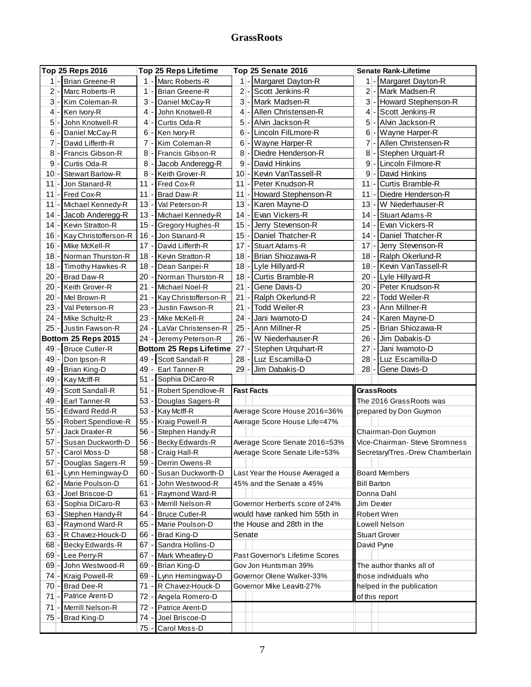# **GrassRoots**

|                | Top 25 Reps 2016        |                 | <b>Top 25 Reps Lifetime</b> |                 | Top 25 Senate 2016              |        | <b>Senate Rank-Lifetime</b>      |
|----------------|-------------------------|-----------------|-----------------------------|-----------------|---------------------------------|--------|----------------------------------|
| $1 -$          | Brian Greene-R          |                 | 1 - Marc Roberts-R          |                 | 1 - Margaret Dayton-R           |        | 1 - Margaret Dayton-R            |
| 2              | Marc Roberts-R          | $1$ -           | <b>Brian Greene-R</b>       | $\overline{2}$  | Scott Jenkins-R                 |        | 2 - Mark Madsen-R                |
| 3              | Kim Coleman-R           | $3$ -           | Daniel McCay-R              | $\mathbf{3}$    | Mark Madsen-R                   |        | 3 - Howard Stephenson-R          |
| 4              | Ken Ivory-R             | $4$ -           | John Knotwell-R             | $\vert$         | Allen Christensen-R             | 4 -    | Scott Jenkins-R                  |
| 5              | John Knotwell-R         | $\vert 4 \vert$ | Curtis Oda-R                | 5               | Alvin Jackson-R                 |        | 5 - Alvin Jackson-R              |
| 6              | Daniel McCay-R          | 6               | Ken Ivory-R                 | $6 \mid$        | Lincoln FilLmore-R              |        | 6 - Wayne Harper-R               |
| $\overline{7}$ | David Lifferth-R        | $7$ .           | Kim Coleman-R               | $6 \mid$        | Wayne Harper-R                  |        | 7 - Allen Christensen-R          |
| 8              | Francis Gibson-R        | 8               | Francis Gibson-R            | 8               | Diedre Henderson-R              | 8 -    | Stephen Urquart-R                |
| 9              | Curtis Oda-R            | 8 <sup>°</sup>  | Jacob Anderegg-R            | 9               | David Hinkins                   | 9 - I  | Lincoln Filmore-R                |
| 10             | <b>Stewart Barlow-R</b> | 8               | Keith Grover-R              | 10 <sup>1</sup> | Kevin VanTassell-R              | 9      | David Hinkins                    |
| 11             | Jon Stanard-R           | 11              | Fred Cox-R                  | 11              | Peter Knudson-R                 | $11 -$ | <b>Curtis Bramble-R</b>          |
| 11             | Fred Cox-R              | 11              | <b>Brad Daw-R</b>           | 11              | Howard Stephenson-R             | 11 -   | Diedre Henderson-R               |
| 11             | Michael Kennedy-R       | 13              | Val Peterson-R              | 13              | Karen Mayne-D                   | 13 - I | W Niederhauser-R                 |
| 14             | Jacob Anderegg-R        | $13 -$          | Michael Kennedy-R           | 14              | Evan Vickers-R                  | 14 -   | <b>Stuart Adams-R</b>            |
| 14             | Kevin Stratton-R        | 15              | Gregory Hughes-R            | 15              | Jerry Stevenson-R               |        | 14 - Evan Vickers-R              |
| 16             | Kay Christofferson-R    | 16              | Jon Stanard-R               | 15              | Daniel Thatcher-R               | 14 -   | Daniel Thatcher-R                |
| 16             | Mike McKell-R           | $17 -$          | David Lifferth-R            | $17 -$          | <b>Stuart Adams-R</b>           | $17 -$ | Jerry Stevenson-R                |
| 18             | Norman Thurston-R       |                 | 18 - Kevin Stratton-R       | $18 -$          | Brian Shiozawa-R                |        | 18 - Ralph Okerlund-R            |
| 18             | Timothy Hawkes-R        |                 | 18 - Dean Sanpei-R          | $18 -$          | Lyle Hillyard-R                 | $18 -$ | Kevin VanTassell-R               |
| 20             | <b>Brad Daw-R</b>       |                 | 20 - Norman Thurston-R      | 18              | Curtis Bramble-R                | $20 -$ | Lyle Hillyard-R                  |
| 20             | Keith Grover-R          |                 | 21 - Michael Noel-R         | 21              | Gene Davis-D                    | $20 -$ | Peter Knudson-R                  |
| 20             | Mel Brown-R             |                 | 21 - Kay Christofferson-R   | 21              | Ralph Okerlund-R                | $22 -$ | Todd Weiler-R                    |
| 23             | Val Peterson-R          |                 | 23 - Justin Fawson-R        | 21              | Todd Weiler-R                   | $23 -$ | Ann Millner-R                    |
| 24             | Mike Schultz-R          |                 | 23 - Mike McKell-R          | 24              | Jani Iwamoto-D                  | 24     | Karen Mayne-D                    |
| 25             | Justin Fawson-R         |                 | 24 - LaVar Christensen-R    | 25              | Ann Millner-R                   | 25     | Brian Shiozawa-R                 |
|                | Bottom 25 Reps 2015     |                 | 24 - Jeremy Peterson-R      | 26              | W Niederhauser-R                | 26     | Jim Dabakis-D                    |
| 49             | <b>Bruce Cutler-R</b>   |                 | Bottom 25 Reps Lifetime     | 27              | Stephen Urquhart-R              | 27     | Jani Iwamoto-D                   |
| 49             | Don Ipson-R             |                 | 49 - Scott Sandall-R        | 28              | Luz Escamilla-D                 | $28 -$ | Luz Escamilla-D                  |
| 49             | Brian King-D            |                 | 49 - Earl Tanner-R          | 29              | Jim Dabakis-D                   | $28 -$ | Gene Davis-D                     |
| 49             | Kay McIff-R             |                 | 51 - Sophia DiCaro-R        |                 |                                 |        |                                  |
| 49             | Scott Sandall-R         |                 | 51 - Robert Spendlove-R     |                 | <b>Fast Facts</b>               |        | <b>GrassRoots</b>                |
| 49             | Earl Tanner-R           |                 | 53 - Douglas Sagers-R       |                 |                                 |        | The 2016 Grass Roots was         |
| 55             | <b>Edward Redd-R</b>    |                 | 53 - Kay Mclff-R            |                 | Average Score House 2016=36%    |        | prepared by Don Guymon           |
| 55             | Robert Spendlove-R      | $55$ -          | Kraig Powell-R              |                 | Average Score House Life=47%    |        |                                  |
| 57             | Jack Draxler-R          | 56              | Stephen Handy-R             |                 |                                 |        | Chairman-Don Guymon              |
| 57             | Susan Duckworth-D       |                 | 56 - Becky Edwards-R        |                 | Average Score Senate 2016=53%   |        | Vice-Chairman- Steve Stromness   |
| $57$ -         | Carol Moss-D            |                 | 58 - Craig Hall-R           |                 | Average Score Senate Life=53%   |        | Secretary/Tres.-Drew Chamberlain |
| 57.            | Douglas Sagers-R        |                 | 59 - Derrin Owens-R         |                 |                                 |        |                                  |
| 61             | Lynn Hemingway-D        |                 | 60 - Susan Duckworth-D      |                 | Last Year the House Averaged a  |        | <b>Board Members</b>             |
| 62             | Marie Poulson-D         | $61 -$          | John Westwood-R             |                 | 45% and the Senate a 45%        |        | <b>Bill Barton</b>               |
| 63             | Joel Briscoe-D          | $61 -$          | Raymond Ward-R              |                 |                                 |        | Donna Dahl                       |
| 63             | Sophia DiCaro-R         |                 | 63 - Merrill Nelson-R       |                 | Governor Herbert's score of 24% |        | Jim Dexter                       |
| 63             | Stephen Handy-R         |                 | 64 - Bruce Cutler-R         |                 | would have ranked him 55th in   |        | Robert Wren                      |
| 63             | Raymond Ward-R          |                 | 65 - Marie Poulson-D        |                 | the House and 28th in the       |        | Lowell Nelson                    |
| 63             | R Chavez-Houck-D        |                 | 66 - Brad King-D            | Senate          |                                 |        | <b>Stuart Grover</b>             |
| 68             | Becky Edwards-R         |                 | 67 - Sandra Hollins-D       |                 |                                 |        | David Pyne                       |
| 69             | Lee Perry-R             |                 | 67 - Mark Wheatley-D        |                 | Past Governor's Lifetime Scores |        |                                  |
| 69             | John Westwood-R         |                 | 69 - Brian King-D           |                 | Gov Jon Huntsman 39%            |        | The author thanks all of         |
| 74             | <b>Kraig Powell-R</b>   |                 | 69 - Lynn Hemingway-D       |                 | Governor Olene Walker-33%       |        | those individuals who            |
| $70 \cdot$     | <b>Brad Dee-R</b>       |                 | 71 - R Chavez-Houck-D       |                 | Governor Mike Leavitt-27%       |        | helped in the publication        |
| 71             | Patrice Arent-D         |                 |                             |                 |                                 |        |                                  |
|                |                         | $72 -$          | Angela Romero-D             |                 |                                 |        | of this report                   |
| 71             | Merrill Nelson-R        | 72 -            | Patrice Arent-D             |                 |                                 |        |                                  |
| 75             | <b>Brad King-D</b>      | 74              | Joel Briscoe-D              |                 |                                 |        |                                  |
|                |                         | $75 -$          | Carol Moss-D                |                 |                                 |        |                                  |